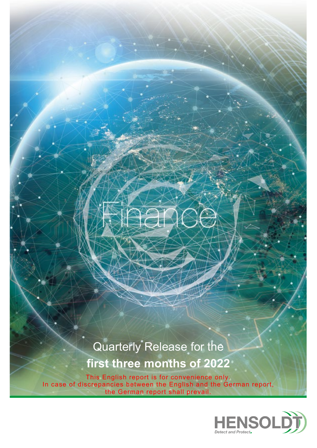# Quarterly Release for the **first three months of 2022**

This English report is for convenience only. In case of discrepancies between the English and the German report, the German report shall prevail.

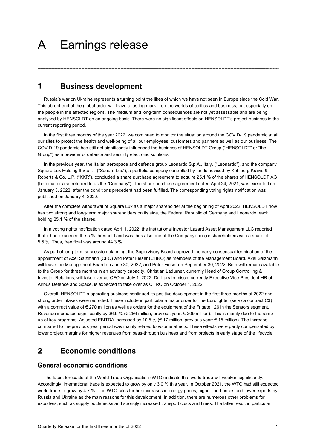### Earnings release  $\mathsf{A}$

#### **Business development** 1

Russia's war on Ukraine represents a turning point the likes of which we have not seen in Europe since the Cold War. This abrupt end of the global order will leave a lasting mark – on the worlds of politics and business, but especially on the people in the affected regions. The medium and long-term consequences are not yet assessable and are being analysed by HENSOLDT on an ongoing basis. There were no significant effects on HENSOLDT's project business in the current reporting period.

----------------------------------------------------------------------------------------------------------------------------------------------------------------

In the first three months of the year 2022, we continued to monitor the situation around the COVID-19 pandemic at all our sites to protect the health and well-being of all our employees, customers and partners as well as our business. The COVID-19 pandemic has still not significantly influenced the business of HENSOLDT Group ("HENSOLDT" or "the Group") as a provider of defence and security electronic solutions.

In the previous year, the Italian aerospace and defence group Leonardo S.p.A., Italy, ("Leonardo"), and the company Square Lux Holding II S.á r.l. ("Square Lux"), a portfolio company controlled by funds advised by Kohlberg Kravis & Roberts & Co. L.P. ("KKR"), concluded a share purchase agreement to acquire 25.1 % of the shares of HENSOLDT AG (hereinafter also referred to as the "Company"). The share purchase agreement dated April 24, 2021, was executed on January 3, 2022, after the conditions precedent had been fulfilled. The corresponding voting rights notification was published on January 4, 2022.

After the complete withdrawal of Square Lux as a major shareholder at the beginning of April 2022, HENSOLDT now has two strong and long-term major shareholders on its side, the Federal Republic of Germany and Leonardo, each holding 25.1 % of the shares.

In a voting rights notification dated April 1, 2022, the institutional investor Lazard Asset Management LLC reported that it had exceeded the 5 % threshold and was thus also one of the Company's major shareholders with a share of 5.5 %. Thus, free float was around 44.3 %.

As part of long-term succession planning, the Supervisory Board approved the early consensual termination of the appointment of Axel Salzmann (CFO) and Peter Fieser (CHRO) as members of the Management Board. Axel Salzmann will leave the Management Board on June 30, 2022, and Peter Fieser on September 30, 2022. Both will remain available to the Group for three months in an advisory capacity. Christian Ladurner, currently Head of Group Controlling & Investor Relations, will take over as CFO on July 1, 2022. Dr. Lars Immisch, currently Executive Vice President HR of Airbus Defence and Space, is expected to take over as CHRO on October 1, 2022.

Overall, HENSOLDT`s operating business continued its positive development in the first three months of 2022 and strong order intakes were recorded. These include in particular a major order for the Eurofighter (service contract C3) with a contract value of € 270 million as well as orders for the equipment of the Frigate 126 in the Sensors segment. Revenue increased significantly by 36.9 % (€ 286 million; previous year: € 209 million). This is mainly due to the ramp up of key programs. Adjusted EBITDA increased by 10.5 % (€ 17 million; previous year: € 15 million). The increase compared to the previous year period was mainly related to volume effects. These effects were partly compensated by lower project margins for higher revenues from pass-through business and from projects in early stage of the lifecycle.

#### **Economic conditions**  $\overline{2}$

## **General economic conditions**

The latest forecasts of the World Trade Organisation (WTO) indicate that world trade will weaken significantly. Accordingly, international trade is expected to grow by only 3.0 % this year. In October 2021, the WTO had still expected world trade to grow by 4.7 %. The WTO cites further increases in energy prices, higher food prices and lower exports by Russia and Ukraine as the main reasons for this development. In addition, there are numerous other problems for exporters, such as supply bottlenecks and strongly increased transport costs and times. The latter result in particular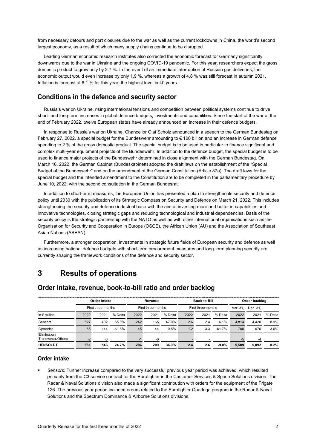from necessary detours and port closures due to the war as well as the current lockdowns in China, the world's second largest economy, as a result of which many supply chains continue to be disrupted.

Leading German economic research institutes also corrected the economic forecast for Germany significantly downwards due to the war in Ukraine and the ongoing COVID-19 pandemic. For this year, researchers expect the gross domestic product to grow only by 2.7 %. In the event of an immediate interruption of Russian gas deliveries, the economic output would even increase by only 1.9 %, whereas a growth of 4.8 % was still forecast in autumn 2021. Inflation is forecast at 6.1 % for this year, the highest level in 40 years.

## Conditions in the defence and security sector

Russia's war on Ukraine, rising international tensions and competition between political systems continue to drive short- and long-term increases in global defence budgets, investments and capabilities. Since the start of the war at the end of February 2022, twelve European states have already announced an increase in their defence budgets.

In response to Russia's war on Ukraine, Chancellor Olaf Scholz announced in a speech to the German Bundestag on February 27, 2022, a special budget for the Bundeswehr amounting to € 100 billion and an increase in German defence spending to 2 % of the gross domestic product. The special budget is to be used in particular to finance significant and complex multi-year equipment projects of the Bundeswehr. In addition to the defence budget, the special budget is to be used to finance major projects of the Bundeswehr determined in close alignment with the German Bundestag. On March 16, 2022, the German Cabinet (Bundeskabinett) adopted the draft laws on the establishment of the "Special Budget of the Bundeswehr" and on the amendment of the German Constitution (Article 87a). The draft laws for the special budget and the intended amendment to the Constitution are to be completed in the parliamentary procedure by June 10, 2022, with the second consultation in the German Bundesrat.

In addition to short-term measures, the European Union has presented a plan to strengthen its security and defence policy until 2030 with the publication of its Strategic Compass on Security and Defence on March 21, 2022. This includes strengthening the security and defence industrial base with the aim of investing more and better in capabilities and innovative technologies, closing strategic gaps and reducing technological and industrial dependencies. Basis of the security policy is the strategic partnership with the NATO as well as with other international organisations such as the Organisation for Security and Cooperation in Europe (OSCE), the African Union (AU) and the Association of Southeast Asian Nations (ASEAN).

Furthermore, a stronger cooperation, investments in strategic future fields of European security and defence as well as increasing national defence budgets with short-term procurement measures and long-term planning security are currently shaping the framework conditions of the defence and security sector.

#### **Results of operations** 3

|                                    |      | Order intake       |          |                          | Revenue |                    |      | Book-to-Bill |           | Order backlog |       |         |
|------------------------------------|------|--------------------|----------|--------------------------|---------|--------------------|------|--------------|-----------|---------------|-------|---------|
|                                    |      | First three months |          | First three months       |         | First three months |      | Mar. 31.     | Dec. 31.  |               |       |         |
| in $\epsilon$ million              | 2022 | 2021               | % Delta  | 2022                     | 2021    | % Delta            | 2022 | 2021         | % Delta   | 2022          | 2021  | % Delta |
| Sensors                            | 627  | 402                | 55.9%    | 242                      | 165     | 47.0%              | 2.6  | 2.4          | 6.1%      | 4.814         | 4.420 | 8.9%    |
| Optronics                          | 55   | 144                | $-61.6%$ | 45                       | 44      | 0.5%               | 1.2  | 3.3          | $-61.7\%$ | 700           | 676   | 3.6%    |
| Elimination/<br>Transversal/Others |      | -0                 |          | $\overline{\phantom{a}}$ | -0      |                    |      |              |           |               | -4    |         |
| <b>HENSOLDT</b>                    | 681  | 546                | 24.7%    | 286                      | 209     | 36.9%              | 2.4  | 2.6          | $-9.0\%$  | 5.509         | 5.092 | 8.2%    |

## Order intake, revenue, book-to-bill ratio and order backlog

### **Order intake**

 *Sensors:* Further increase compared to the very successful previous year period was achieved, which resulted primarily from the C3 service contract for the Eurofighter in the Customer Services & Space Solutions division. The Radar & Naval Solutions division also made a significant contribution with orders for the equipment of the Frigate 126. The previous year period included orders related to the Eurofighter Quadriga program in the Radar & Naval Solutions and the Spectrum Dominance & Airborne Solutions divisions.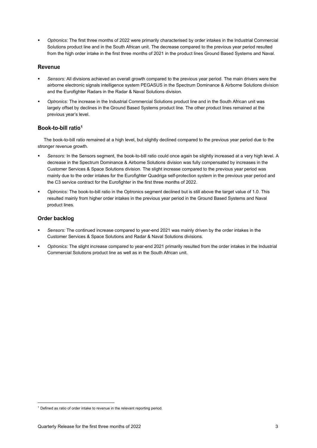*Optronics:* The first three months of 2022 were primarily characterised by order intakes in the Industrial Commercial Solutions product line and in the South African unit. The decrease compared to the previous year period resulted from the high order intake in the first three months of 2021 in the product lines Ground Based Systems and Naval.

#### **Revenue**

- *Sensors:* All divisions achieved an overall growth compared to the previous year period. The main drivers were the airborne electronic signals intelligence system PEGASUS in the Spectrum Dominance & Airborne Solutions division and the Eurofighter Radars in the Radar & Naval Solutions division.
- *Optronics:* The increase in the Industrial Commercial Solutions product line and in the South African unit was largely offset by declines in the Ground Based Systems product line. The other product lines remained at the previous year's level.

## Book-to-bill ratio<sup>1</sup>

The book[-t](#page-3-0)o-bill ratio remained at a high level, but slightly declined compared to the previous year period due to the stronger revenue growth.

- *Sensors:* In the Sensors segment, the book-to-bill ratio could once again be slightly increased at a very high level. A decrease in the Spectrum Dominance & Airborne Solutions division was fully compensated by increases in the Customer Services & Space Solutions division. The slight increase compared to the previous year period was mainly due to the order intakes for the Eurofighter Quadriga self-protection system in the previous year period and the C3 service contract for the Eurofighter in the first three months of 2022.
- *Optronics:* The book-to-bill ratio in the Optronics segment declined but is still above the target value of 1.0. This resulted mainly from higher order intakes in the previous year period in the Ground Based Systems and Naval product lines.

### **Order backlog**

- *Sensors:* The continued increase compared to year-end 2021 was mainly driven by the order intakes in the Customer Services & Space Solutions and Radar & Naval Solutions divisions.
- *Optronics:* The slight increase compared to year-end 2021 primarily resulted from the order intakes in the Industrial Commercial Solutions product line as well as in the South African unit.

<span id="page-3-0"></span> $1$  Defined as ratio of order intake to revenue in the relevant reporting period.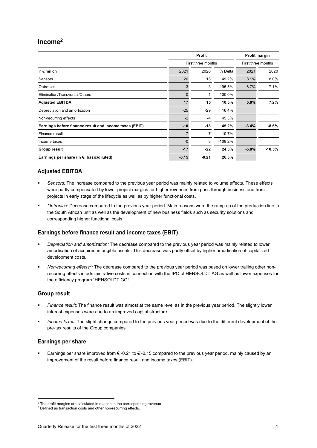## $Income<sup>2</sup>$

|                                                        |         | Profit             | Profit margin |                    |          |
|--------------------------------------------------------|---------|--------------------|---------------|--------------------|----------|
|                                                        |         | First three months |               | First three months |          |
| in $\epsilon$ million                                  | 2021    | 2020               | % Delta       | 2021               | 2020     |
| Sensors                                                | 20      | 13                 | 49.2%         | 8.1%               | 8.0%     |
| Optronics                                              | $-3$    | 3                  | $-195.5%$     | $-6.7%$            | 7.1%     |
| Elimination/Transversal/Others                         | 0       | $-1$               | 100.0%        |                    |          |
| <b>Adjusted EBITDA</b>                                 | 17      | 15                 | 10.5%         | 5.8%               | 7.2%     |
| Depreciation and amortization                          | $-25$   | $-29$              | 16.4%         |                    |          |
| Non-recurring effects                                  | $-2$    | $-4$               | 45.3%         |                    |          |
| Earnings before finance result and income taxes (EBIT) | $-10$   | $-18$              | 45.2%         | $-3.4%$            | $-8.6%$  |
| Finance result                                         | $-7$    | $-7$               | 10.7%         |                    |          |
| Income taxes                                           | $-0$    | 3                  | $-108.2%$     |                    |          |
| <b>Group result</b>                                    | $-17$   | $-22$              | 24.5%         | $-5.8%$            | $-10.5%$ |
| Earnings per share (in $\xi$ ; basic/diluted)          | $-0.15$ | $-0.21$            | 26.5%         |                    |          |

## **Adjusted EBITDA**

- *Sensors:* The increase compared to the previous year period was mainly related to volume effects. These effects were partly compensated by lower project margins for higher revenues from pass-through business and from projects in early stage of the lifecycle as well as by higher functional costs.
- *Optronics:* Decrease compared to the previous year period. Main reasons were the ramp up of the production line in the South African unit as well as the development of new business fields such as security solutions and corresponding higher functional costs.

## Earnings before finance result and income taxes (EBIT)

- *Depreciation and amortization:* The decrease compared to the previous year period was mainly related to lower amortisation of acquired intangible assets. This decrease was partly offset by higher amortisation of capitalized development costs.
- *Non-recurring effects[3:](#page-4-0)* The decrease compared to the previous year period was based on lower trailing other nonrecurring effects in administrative costs in connection with the IPO of HENSOLDT AG as well as lower expenses for the efficiency program "HENSOLDT GO!".

## **Group result**

- *Finance result:* The finance result was almost at the same level as in the previous year period. The slightly lower interest expenses were due to an improved capital structure.
- *Income taxes:* The slight change compared to the previous year period was due to the different development of the pre-tax results of the Group companies.

### **Earnings per share**

 Earnings per share improved from € -0.21 to € -0.15 compared to the previous year period, mainly caused by an improvement of the result before finance result and income taxes (EBIT).

 $2$  The profit margins are calculated in relation to the corresponding revenue

<span id="page-4-0"></span><sup>&</sup>lt;sup>3</sup> Defined as transaction costs and other non-recurring effects.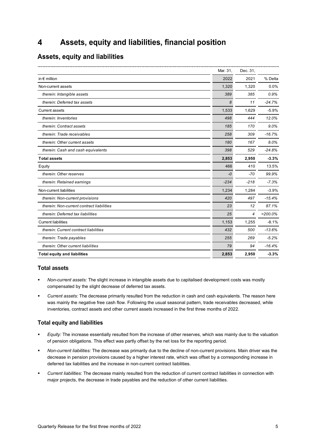#### Assets, equity and liabilities, financial position  $\overline{\mathbf{A}}$

## **Assets, equity and liabilities**

|                                           | Mar. 31, | Dec. 31, |            |
|-------------------------------------------|----------|----------|------------|
| in $\epsilon$ million                     | 2022     | 2021     | % Delta    |
| Non-current assets                        | 1,320    | 1,320    | 0.0%       |
| therein: Intangible assets                | 389      | 385      | 0.9%       |
| therein: Deferred tax assets              | 8        | 11       | $-24.7%$   |
| <b>Current assets</b>                     | 1,533    | 1,629    | $-5.9%$    |
| therein: Inventories                      | 498      | 444      | 12.0%      |
| therein: Contract assets                  | 185      | 170      | 9.0%       |
| therein: Trade receivables                | 258      | 309      | $-16.7%$   |
| therein: Other current assets             | 180      | 167      | 8.0%       |
| therein: Cash and cash equivalents        | 398      | 529      | $-24.8%$   |
| <b>Total assets</b>                       | 2,853    | 2,950    | $-3.3%$    |
| Equity                                    | 466      | 410      | 13.5%      |
| therein: Other reserves                   | $-0$     | $-70$    | 99.9%      |
| therein: Retained earnings                | $-234$   | $-218$   | $-7.3%$    |
| Non-current liabilities                   | 1,234    | 1,284    | $-3.9%$    |
| therein: Non-current provisions           | 420      | 497      | $-15.4%$   |
| therein: Non-current contract liabilities | 23       | 12       | 87.1%      |
| therein: Deferred tax liabilities         | 25       | 4        | $>200.0\%$ |
| <b>Current liabilities</b>                | 1,153    | 1,255    | $-8.1%$    |
| therein: Current contract liabilities     | 432      | 500      | $-13.6%$   |
| therein: Trade payables                   | 255      | 269      | $-5.2%$    |
| therein: Other current liabilities        | 79       | 94       | $-16.4%$   |
| <b>Total equity and liabilities</b>       | 2,853    | 2,950    | $-3.3%$    |
|                                           |          |          |            |

## **Total assets**

- *Non-current assets:* The slight increase in intangible assets due to capitalised development costs was mostly compensated by the slight decrease of deferred tax assets.
- *Current assets:* The decrease primarily resulted from the reduction in cash and cash equivalents. The reason here was mainly the negative free cash flow. Following the usual seasonal pattern, trade receivables decreased, while inventories, contract assets and other current assets increased in the first three months of 2022.

### **Total equity and liabilities**

- *Equity:* The increase essentially resulted from the increase of other reserves, which was mainly due to the valuation of pension obligations. This effect was partly offset by the net loss for the reporting period.
- *Non-current liabilities:* The decrease was primarily due to the decline of non-current provisions. Main driver was the decrease in pension provisions caused by a higher interest rate, which was offset by a corresponding increase in deferred tax liabilities and the increase in non-current contract liabilities.
- *Current liabilities:* The decrease mainly resulted from the reduction of current contract liabilities in connection with major projects, the decrease in trade payables and the reduction of other current liabilities.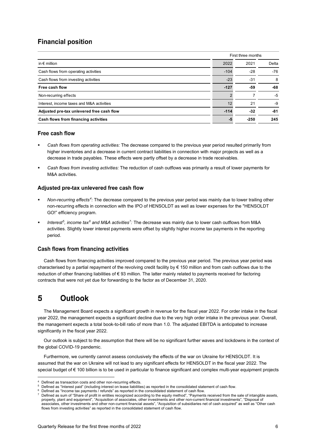## **Financial position**

|                                           | First three months |        |       |  |  |
|-------------------------------------------|--------------------|--------|-------|--|--|
| in $\epsilon$ million                     | 2022               | 2021   | Delta |  |  |
| Cash flows from operating activities      | $-104$             | $-28$  | $-76$ |  |  |
| Cash flows from investing activities      | $-23$              | $-31$  | 8     |  |  |
| Free cash flow                            | $-127$             | -59    | -68   |  |  |
| Non-recurring effects                     |                    |        | -5    |  |  |
| Interest, income taxes and M&A activities | 12                 | 21     | -9    |  |  |
| Adjusted pre-tax unlevered free cash flow | $-114$             | $-32$  | -81   |  |  |
| Cash flows from financing activities      |                    | $-250$ | 245   |  |  |

#### Free cash flow

- *Cash flows from operating activities:* The decrease compared to the previous year period resulted primarily from higher inventories and a decrease in current contract liabilities in connection with major projects as well as a decrease in trade payables. These effects were partly offset by a decrease in trade receivables.
- *Cash flows from investing activities:* The reduction of cash outflows was primarily a result of lower payments for M&A activities.

### Adjusted pre-tax unlevered free cash flow

- *Non-recurring effects[4:](#page-6-0)* The decrease compared to the previous year period was mainly due to lower trailing other non-recurring effects in connection with the IPO of HENSOLDT as well as lower expenses for the "HENSOLDT GO!" efficiency program.
- *Interest[5,](#page-6-1) income tax[6](#page-6-2) and M&A activities[7](#page-6-3):* The decrease was mainly due to lower cash outflows from M&A activities. Slightly lower interest payments were offset by slightly higher income tax payments in the reporting period.

### **Cash flows from financing activities**

Cash flows from financing activities improved compared to the previous year period. The previous year period was characterised by a partial repayment of the revolving credit facility by € 150 million and from cash outflows due to the reduction of other financing liabilities of € 93 million. The latter mainly related to payments received for factoring contracts that were not yet due for forwarding to the factor as of December 31, 2020.

#### 5 Outlook

The Management Board expects a significant growth in revenue for the fiscal year 2022. For order intake in the fiscal year 2022, the management expects a significant decline due to the very high order intake in the previous year. Overall, the management expects a total book-to-bill ratio of more than 1.0. The adjusted EBITDA is anticipated to increase significantly in the fiscal year 2022.

Our outlook is subject to the assumption that there will be no significant further waves and lockdowns in the context of the global COVID-19 pandemic.

Furthermore, we currently cannot assess conclusively the effects of the war on Ukraine for HENSOLDT. It is assumed that the war on Ukraine will not lead to any significant effects for HENSOLDT in the fiscal year 2022. The special budget of € 100 billion is to be used in particular to finance significant and complex multi-year equipment projects

Defined as transaction costs and other non-recurring effects.

<span id="page-6-1"></span><span id="page-6-0"></span><sup>5</sup> Defined as "Interest paid" (including interest on lease liabilities) as reported in the consolidated statement of cash flow.

<span id="page-6-2"></span>Defined as "Income tax payments / refunds" as reported in the consolidated statement of cash flow.

<span id="page-6-3"></span><sup>7</sup> Defined as sum of "Share of profit in entities recognized according to the equity method", "Payments received from the sale of intangible assets, property, plant and equipment", "Acquisition of associates, other investments and other non-current financial investments", "Disposal of associates, other investments and other non-current financial assets", "Acquisition of subsidiaries net of cash acquired" as well as "Other cash flows from investing activities" as reported in the consolidated statement of cash flow.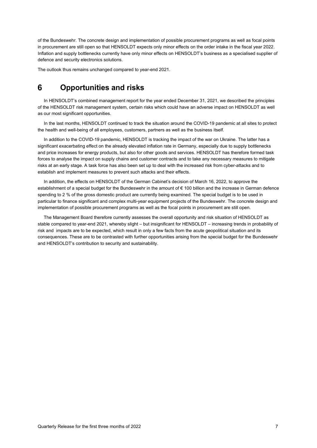of the Bundeswehr. The concrete design and implementation of possible procurement programs as well as focal points in procurement are still open so that HENSOLDT expects only minor effects on the order intake in the fiscal year 2022. Inflation and supply bottlenecks currently have only minor effects on HENSOLDT's business as a specialised supplier of defence and security electronics solutions.

The outlook thus remains unchanged compared to year-end 2021.

#### 6 **Opportunities and risks**

In HENSOLDT's combined management report for the year ended December 31, 2021, we described the principles of the HENSOLDT risk management system, certain risks which could have an adverse impact on HENSOLDT as well as our most significant opportunities.

In the last months, HENSOLDT continued to track the situation around the COVID-19 pandemic at all sites to protect the health and well-being of all employees, customers, partners as well as the business itself.

In addition to the COVID-19 pandemic, HENSOLDT is tracking the impact of the war on Ukraine. The latter has a significant exacerbating effect on the already elevated inflation rate in Germany, especially due to supply bottlenecks and price increases for energy products, but also for other goods and services. HENSOLDT has therefore formed task forces to analyse the impact on supply chains and customer contracts and to take any necessary measures to mitigate risks at an early stage. A task force has also been set up to deal with the increased risk from cyber-attacks and to establish and implement measures to prevent such attacks and their effects.

In addition, the effects on HENSOLDT of the German Cabinet's decision of March 16, 2022, to approve the establishment of a special budget for the Bundeswehr in the amount of € 100 billion and the increase in German defence spending to 2 % of the gross domestic product are currently being examined. The special budget is to be used in particular to finance significant and complex multi-year equipment projects of the Bundeswehr. The concrete design and implementation of possible procurement programs as well as the focal points in procurement are still open.

The Management Board therefore currently assesses the overall opportunity and risk situation of HENSOLDT as stable compared to year-end 2021, whereby slight – but insignificant for HENSOLDT – increasing trends in probability of risk and impacts are to be expected, which result in only a few facts from the acute geopolitical situation and its consequences. These are to be contrasted with further opportunities arising from the special budget for the Bundeswehr and HENSOLDT's contribution to security and sustainability.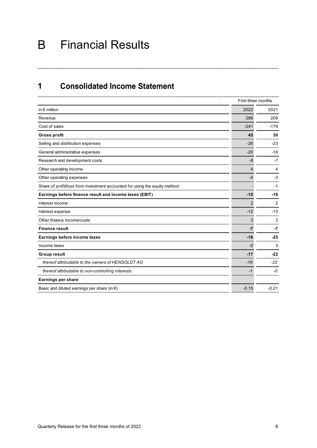## Financial Results B

#### **Consolidated Income Statement**  $\mathbf 1$

|                                                                            |         | First three months |  |  |
|----------------------------------------------------------------------------|---------|--------------------|--|--|
| in $\epsilon$ million                                                      | 2022    | 2021               |  |  |
| Revenue                                                                    | 286     | 209                |  |  |
| Cost of sales                                                              | $-241$  | $-179$             |  |  |
| <b>Gross profit</b>                                                        | 45      | 30                 |  |  |
| Selling and distribution expenses                                          | $-26$   | $-23$              |  |  |
| General administrative expenses                                            | $-20$   | $-18$              |  |  |
| Research and development costs                                             | -8      | $-7$               |  |  |
| Other operating income                                                     | 4       | 4                  |  |  |
| Other operating expenses                                                   | $-4$    | $-3$               |  |  |
| Share of profit/loss from investment accounted for using the equity method |         | -1                 |  |  |
| Earnings before finance result and income taxes (EBIT)                     | $-10$   | $-18$              |  |  |
| Interest income                                                            | 2       | 2                  |  |  |
| Interest expense                                                           | $-12$   | $-13$              |  |  |
| Other finance income/costs                                                 | 3       | 3                  |  |  |
| <b>Finance result</b>                                                      | $-7$    | $-7$               |  |  |
| Earnings before income taxes                                               | $-16$   | $-25$              |  |  |
| Income taxes                                                               | $-0$    | 3                  |  |  |
| <b>Group result</b>                                                        | $-17$   | -22                |  |  |
| thereof attributable to the owners of HENSOLDT AG                          | $-16$   | $-22$              |  |  |
| thereof attributable to non-controlling interests                          | -1      | -0                 |  |  |
| <b>Earnings per share</b>                                                  |         |                    |  |  |
| Basic and diluted earnings per share (in $\epsilon$ )                      | $-0.15$ | $-0.21$            |  |  |

----------------------------------------------------------------------------------------------------------------------------------------------------------------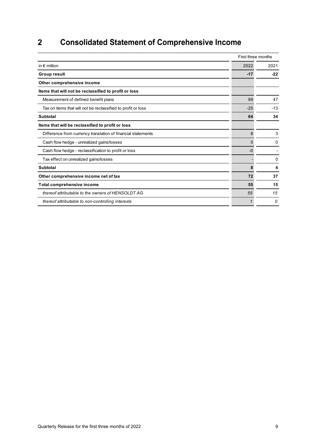#### $\overline{\mathbf{2}}$ **Consolidated Statement of Comprehensive Income**

|                                                              |       | First three months |
|--------------------------------------------------------------|-------|--------------------|
| in $\epsilon$ million                                        | 2022  | 2021               |
| <b>Group result</b>                                          | $-17$ | $-22$              |
| Other comprehensive income                                   |       |                    |
| Items that will not be reclassified to profit or loss        |       |                    |
| Measurement of defined benefit plans                         | 89    | 47                 |
| Tax on items that will not be reclassified to profit or loss | $-25$ | $-13$              |
| <b>Subtotal</b>                                              | 64    | 34                 |
| Items that will be reclassified to profit or loss            |       |                    |
| Difference from currency translation of financial statements | 8     | 3                  |
| Cash flow hedge - unrealized gains/losses                    | 0     | 0                  |
| Cash flow hedge - reclassification to profit or loss         | $-0$  |                    |
| Tax effect on unrealized gains/losses                        |       | 0                  |
| <b>Subtotal</b>                                              | 8     | 4                  |
| Other comprehensive income net of tax                        | 72    | 37                 |
| <b>Total comprehensive income</b>                            | 55    | 15                 |
| thereof attributable to the owners of HENSOLDT AG            | 55    | 15                 |
| thereof attributable to non-controlling interests            |       | 0                  |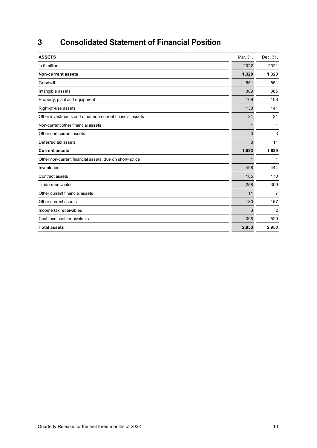#### $\overline{3}$ **Consolidated Statement of Financial Position**

| <b>ASSETS</b>                                            | Mar. 31, | Dec. 31, |
|----------------------------------------------------------|----------|----------|
| in $\epsilon$ million                                    | 2022     | 2021     |
| <b>Non-current assets</b>                                | 1,320    | 1,320    |
| Goodwill                                                 | 651      | 651      |
| Intangible assets                                        | 389      | 385      |
| Property, plant and equipment                            | 109      | 108      |
| Right-of-use assets                                      | 138      | 141      |
| Other investments and other non-current financial assets | 21       | 21       |
| Non-current other financial assets                       |          | 1        |
| Other non-current assets                                 | 3        | 3        |
| Deferred tax assets                                      | 8        | 11       |
| <b>Current assets</b>                                    | 1,533    | 1,629    |
| Other non-current financial assets, due on short-notice  |          | 1        |
| Inventories                                              | 498      | 444      |
| Contract assets                                          | 185      | 170      |
| Trade receivables                                        | 258      | 309      |
| Other current financial assets                           | 11       | 7        |
| Other current assets                                     | 180      | 167      |
| Income tax receivables                                   | 3        | 2        |
| Cash and cash equivalents                                | 398      | 529      |
| <b>Total assets</b>                                      | 2,853    | 2,950    |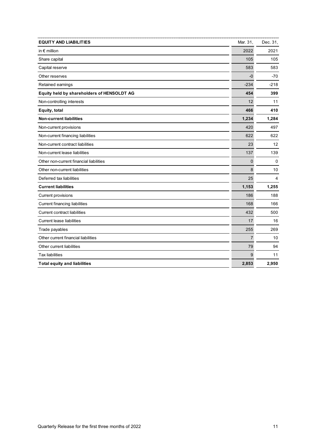| <b>EQUITY AND LIABILITIES</b>              | Mar. 31,    | Dec. 31,                |
|--------------------------------------------|-------------|-------------------------|
| in $\epsilon$ million                      | 2022        | 2021                    |
| Share capital                              | 105         | 105                     |
| Capital reserve                            | 583         | 583                     |
| Other reserves                             | $-0$        | -70                     |
| Retained earnings                          | $-234$      | $-218$                  |
| Equity held by shareholders of HENSOLDT AG | 454         | 399                     |
| Non-controlling interests                  | 12          | 11                      |
| Equity, total                              | 466         | 410                     |
| <b>Non-current liabilities</b>             | 1,234       | 1,284                   |
| Non-current provisions                     | 420         | 497                     |
| Non-current financing liabilities          | 622         | 622                     |
| Non-current contract liabilities           | 23          | 12                      |
| Non-current lease liabilities              | 137         | 139                     |
| Other non-current financial liabilities    | $\mathbf 0$ | $\mathbf 0$             |
| Other non-current liabilities              | 8           | 10                      |
| Deferred tax liabilities                   | 25          | $\overline{\mathbf{A}}$ |
| <b>Current liabilities</b>                 | 1,153       | 1,255                   |
| <b>Current provisions</b>                  | 186         | 188                     |
| <b>Current financing liabilities</b>       | 168         | 166                     |
| <b>Current contract liabilities</b>        | 432         | 500                     |
| <b>Current lease liabilities</b>           | 17          | 16                      |
| Trade payables                             | 255         | 269                     |
| Other current financial liabilities        | 7           | 10                      |
| Other current liabilities                  | 79          | 94                      |
| <b>Tax liabilities</b>                     | 9           | 11                      |
| <b>Total equity and liabilities</b>        | 2,853       | 2,950                   |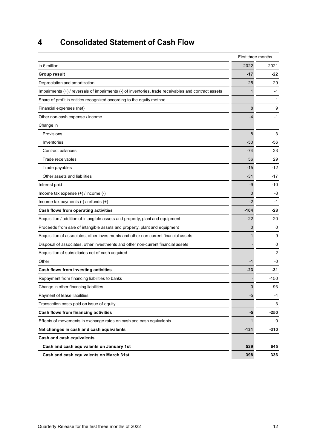#### $\overline{\mathbf{4}}$ **Consolidated Statement of Cash Flow**

|                                                                                                      |        | First three months |  |
|------------------------------------------------------------------------------------------------------|--------|--------------------|--|
| in $\epsilon$ million                                                                                | 2022   | 2021               |  |
| <b>Group result</b>                                                                                  | $-17$  | -22                |  |
| Depreciation and amortization                                                                        | 25     | 29                 |  |
| Impairments (+) / reversals of impairments (-) of inventories, trade receivables and contract assets | 1      | $-1$               |  |
| Share of profit in entities recognized according to the equity method                                |        | 1                  |  |
| Financial expenses (net)                                                                             | 8      | 9                  |  |
| Other non-cash expense / income                                                                      | -4     | $-1$               |  |
| Change in                                                                                            |        |                    |  |
| Provisions                                                                                           | 8      | 3                  |  |
| Inventories                                                                                          | $-50$  | -56                |  |
| Contract balances                                                                                    | $-74$  | 23                 |  |
| Trade receivables                                                                                    | 56     | 29                 |  |
| Trade payables                                                                                       | -15    | -12                |  |
| Other assets and liabilities                                                                         | $-31$  | -17                |  |
| Interest paid                                                                                        | -9     | -10                |  |
| Income tax expense (+) / income (-)                                                                  | 0      | -3                 |  |
| Income tax payments (-) / refunds (+)                                                                | $-2$   | -1                 |  |
| Cash flows from operating activities                                                                 | $-104$ | -28                |  |
| Acquisition / addition of intangible assets and property, plant and equipment                        | $-22$  | -20                |  |
| Proceeds from sale of intangible assets and property, plant and equipment                            | 0      | 0                  |  |
| Acquisition of associates, other investments and other non-current financial assets                  | -1     | -9                 |  |
| Disposal of associates, other investments and other non-current financial assets                     |        | 0                  |  |
| Acquisition of subsidiaries net of cash acquired                                                     |        | -2                 |  |
| Other                                                                                                | -1     | -0                 |  |
| Cash flows from investing activities                                                                 | $-23$  | -31                |  |
| Repayment from financing liabilities to banks                                                        |        | -150               |  |
| Change in other financing liabilities                                                                | -0     | -93                |  |
| Payment of lease liabilities                                                                         | $-5$   | -4                 |  |
| Transaction costs paid on issue of equity                                                            |        | -3                 |  |
| Cash flows from financing activities                                                                 | -5     | -250               |  |
| Effects of movements in exchange rates on cash and cash equivalents                                  | 1      | 0                  |  |
| Net changes in cash and cash equivalents                                                             | $-131$ | $-310$             |  |
| Cash and cash equivalents                                                                            |        |                    |  |
| Cash and cash equivalents on January 1st                                                             | 529    | 645                |  |
| Cash and cash equivalents on March 31st                                                              | 398    | 336                |  |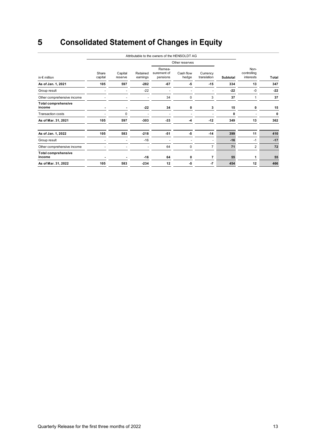#### $\overline{\mathbf{5}}$ **Consolidated Statement of Changes in Equity**

|                                      | Attributable to the owners of the HENSOLDT AG |                    |                      |                                   |                    |                         |          |                                  |       |
|--------------------------------------|-----------------------------------------------|--------------------|----------------------|-----------------------------------|--------------------|-------------------------|----------|----------------------------------|-------|
|                                      |                                               |                    |                      |                                   | Other reserves     |                         |          |                                  |       |
| in $\epsilon$ million                | Share<br>capital                              | Capital<br>reserve | Retained<br>earnings | Remea-<br>surement of<br>pensions | Cash flow<br>hedge | Currency<br>translation | Subtotal | Non-<br>controlling<br>interests | Total |
| As of Jan. 1, 2021                   | 105                                           | 597                | $-282$               | $-67$                             | -5                 | $-15$                   | 334      | 13                               | 347   |
| Group result                         |                                               |                    | $-22$                |                                   |                    |                         | $-22$    | $-0$                             | $-22$ |
| Other comprehensive income           |                                               |                    |                      | 34                                | $\Omega$           | 3                       | 37       |                                  | 37    |
| <b>Total comprehensive</b><br>income |                                               | $\blacksquare$     | $-22$                | 34                                | 0                  | 3                       | 15       | 0                                | 15    |
| <b>Transaction costs</b>             |                                               | 0                  |                      |                                   |                    |                         | 0        |                                  | 0     |
| As of Mar. 31, 2021                  | 105                                           | 597                | $-303$               | $-33$                             | -4                 | $-12$                   | 349      | 13                               | 362   |
| As of Jan. 1, 2022                   | 105                                           | 583                | $-218$               | $-51$                             | -5                 | $-14$                   | 399      | 11                               | 410   |
| Group result                         |                                               |                    | $-16$                |                                   |                    | ۰                       | $-16$    | -1                               | $-17$ |
| Other comprehensive income           |                                               |                    | ٠                    | 64                                | $\mathbf 0$        | $\overline{7}$          | 71       | $\overline{2}$                   | 72    |
| <b>Total comprehensive</b><br>income |                                               |                    | -16                  | 64                                | O                  | 7                       | 55       |                                  | 55    |
| As of Mar. 31, 2022                  | 105                                           | 583                | $-234$               | 12                                | $-5$               | $-7$                    | 454      | 12                               | 466   |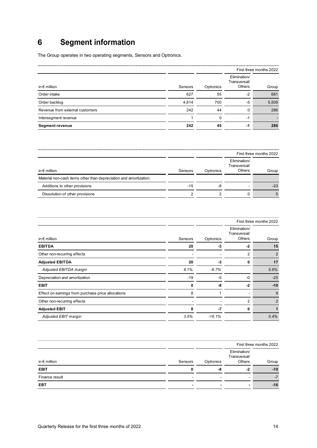#### **Segment information**  $6\phantom{a}$

The Group operates in two operating segments, Sensors and Optronics.

|                                 |         |     |                                               | First three months 2022 |
|---------------------------------|---------|-----|-----------------------------------------------|-------------------------|
| in $\epsilon$ million           | Sensors |     | Elimination/<br>Transversal/<br><b>Others</b> | Group                   |
| Order intake                    | 627     | 55  | -2                                            | 681                     |
| Order backlog                   | 4,814   | 700 | -5                                            | 5,509                   |
| Revenue from external customers | 242     | 44  |                                               | 286                     |
| Intersegment revenue            |         | 0   | -1                                            |                         |
| <b>Segment revenue</b>          | 242     | 45  | -1                                            | 286                     |

|                                                                   |         |           |                                               | First three months 2022 |
|-------------------------------------------------------------------|---------|-----------|-----------------------------------------------|-------------------------|
| in $\epsilon$ million                                             | Sensors | Optronics | Elimination/<br>Transversal/<br><b>Others</b> | Group                   |
| Material non-cash items other than depreciation and amortization: |         |           |                                               |                         |
| Additions to other provisions                                     | $-15$   | -8        | -                                             | $-23$                   |
| Dissolution of other provisions                                   |         |           |                                               |                         |

|                                                    |         | First three months 2022 |                                        |       |
|----------------------------------------------------|---------|-------------------------|----------------------------------------|-------|
| in $\epsilon$ million                              | Sensors | Optronics               | Elimination/<br>Transversal/<br>Others | Group |
| <b>EBITDA</b>                                      | 20      | -3                      | $-2$                                   | 15    |
| Other non-recurring effects                        |         |                         | 2                                      | 2     |
| <b>Adjusted EBITDA</b>                             | 20      | -3                      |                                        | 17    |
| Adjusted EBITDA margin                             | 8.1%    | $-6.7%$                 |                                        | 5.8%  |
| Depreciation and amortization                      | $-19$   | -5                      | -0                                     | $-25$ |
| <b>EBIT</b>                                        |         | -8                      | -2                                     | $-10$ |
| Effect on earnings from purchase price allocations | 8       |                         |                                        | 9     |
| Other non-recurring effects                        |         |                         | 2                                      | 2     |
| <b>Adjusted EBIT</b>                               |         | -7                      | 0                                      |       |
| Adjusted EBIT margin                               | 3.5%    | $-16.1%$                |                                        | 0.4%  |

|                       |         | First three months 2022 |                                               |       |
|-----------------------|---------|-------------------------|-----------------------------------------------|-------|
| in $\epsilon$ million | Sensors | Optronics               | Elimination/<br>Transversal/<br><b>Others</b> | Group |
| <b>EBIT</b>           |         |                         |                                               | $-10$ |
| Finance result        | -       |                         | -                                             |       |
| EBT                   |         |                         |                                               | $-16$ |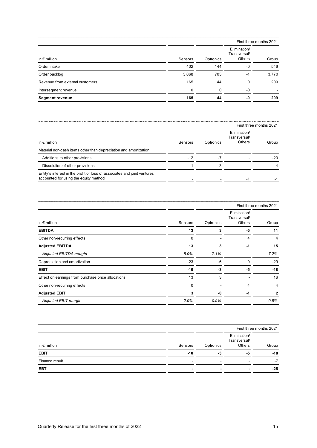|                                 |          |           | First three months 2021                |       |
|---------------------------------|----------|-----------|----------------------------------------|-------|
| in $\epsilon$ million           | Sensors  | Optronics | Elimination/<br>Transversal/<br>Others | Group |
| Order intake                    | 402      | 144       | -0                                     | 546   |
| Order backlog                   | 3,068    | 703       | -1                                     | 3,770 |
| Revenue from external customers | 165      | 44        |                                        | 209   |
| Intersegment revenue            | $\Omega$ | $\Omega$  | -0                                     |       |
| <b>Segment revenue</b>          | 165      | 44        |                                        | 209   |

|                                                                                                                   |         |           | First three months 2021                |       |
|-------------------------------------------------------------------------------------------------------------------|---------|-----------|----------------------------------------|-------|
| in $\epsilon$ million                                                                                             | Sensors | Optronics | Elimination/<br>Transversal/<br>Others | Group |
| Material non-cash items other than depreciation and amortization:                                                 |         |           |                                        |       |
| Additions to other provisions                                                                                     | $-12$   |           |                                        | $-20$ |
| Dissolution of other provisions                                                                                   |         |           |                                        |       |
| Entity's interest in the profit or loss of associates and joint ventures<br>accounted for using the equity method |         |           |                                        |       |

|                                                    |          |           | First three months 2021                |       |
|----------------------------------------------------|----------|-----------|----------------------------------------|-------|
| in $\epsilon$ million                              | Sensors  | Optronics | Elimination/<br>Transversal/<br>Others | Group |
| <b>EBITDA</b>                                      | 13       | 3         | -5                                     | 11    |
| Other non-recurring effects                        | $\Omega$ |           | 4                                      |       |
| <b>Adjusted EBITDA</b>                             | 13       | 3         | $-1$                                   | 15    |
| Adjusted EBITDA margin                             | 8.0%     | 7.1%      |                                        | 7.2%  |
| Depreciation and amortization                      | $-23$    | $-6$      | O                                      | $-29$ |
| <b>EBIT</b>                                        | $-10$    | $-3$      | -5                                     | $-18$ |
| Effect on earnings from purchase price allocations | 13       | 3         |                                        | 16    |
| Other non-recurring effects                        | $\Omega$ |           |                                        |       |
| <b>Adjusted EBIT</b>                               | 3        | -0        | -1                                     | 2     |
| Adjusted EBIT margin                               | 2.0%     | $-0.9%$   |                                        | 0.8%  |

|                       |         |           | First three months 2021                       |       |
|-----------------------|---------|-----------|-----------------------------------------------|-------|
| in $\epsilon$ million | Sensors | Optronics | Elimination/<br>Transversal/<br><b>Others</b> | Group |
| <b>EBIT</b>           | -10     | -3        | -3                                            | -18   |
| Finance result        |         |           |                                               | - 1   |
| <b>EBT</b>            |         |           |                                               | -25   |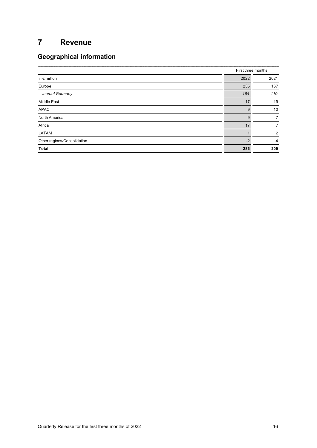#### $\overline{7}$ **Revenue**

## **Geographical information**

|                             |      | First three months |  |
|-----------------------------|------|--------------------|--|
| in $\epsilon$ million       | 2022 | 2021               |  |
| Europe                      | 235  | 167                |  |
| thereof Germany             | 164  | 110                |  |
| Middle East                 | 17   | 19                 |  |
| APAC                        |      | 10                 |  |
| North America               | 9    | 7                  |  |
| Africa                      | 17   | 7                  |  |
| LATAM                       |      | 2                  |  |
| Other regions/Consolidation |      | $-4$               |  |
| Total                       | 286  | 209                |  |